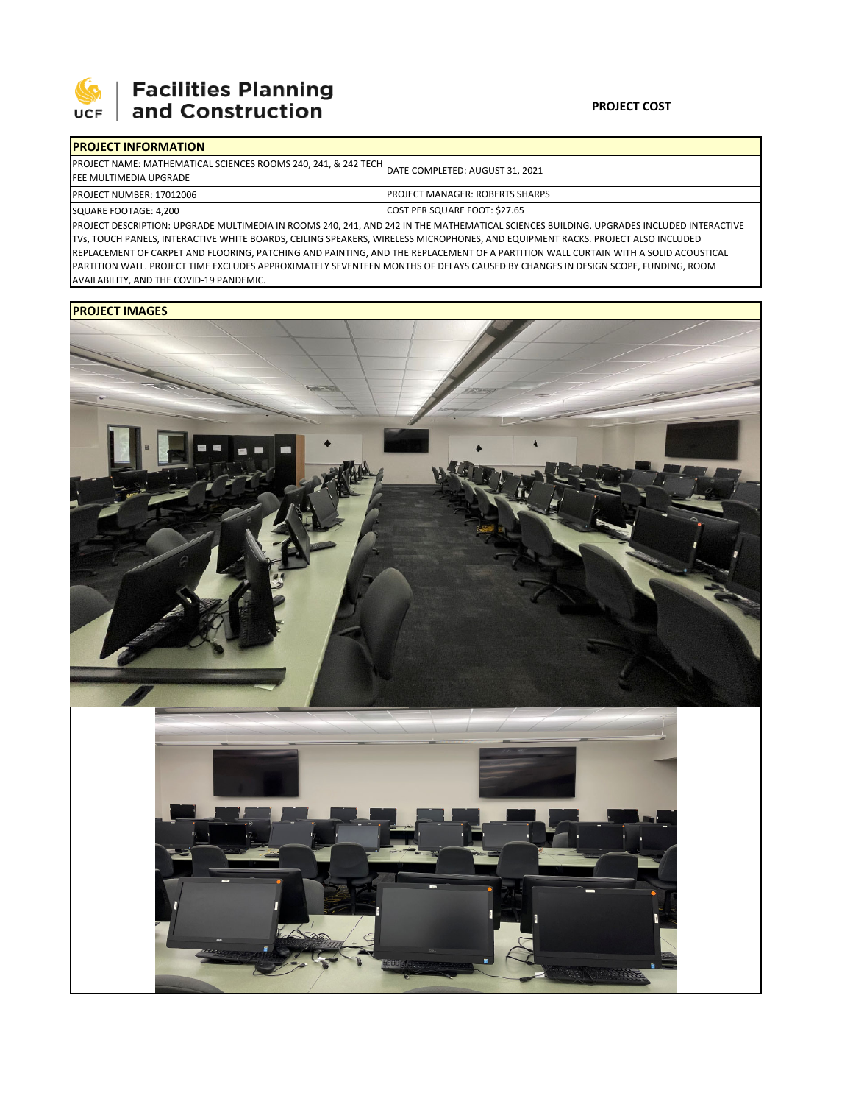

## 

## **PROJECT COST**

| <b>IPROJECT INFORMATION</b>                                                                     |                                                                                                                                         |  |  |  |
|-------------------------------------------------------------------------------------------------|-----------------------------------------------------------------------------------------------------------------------------------------|--|--|--|
| PROJECT NAME: MATHEMATICAL SCIENCES ROOMS 240, 241, & 242 TECH<br><b>FEE MULTIMEDIA UPGRADE</b> | DATE COMPLETED: AUGUST 31, 2021                                                                                                         |  |  |  |
| <b>PROJECT NUMBER: 17012006</b>                                                                 | <b>IPROJECT MANAGER: ROBERTS SHARPS</b>                                                                                                 |  |  |  |
| SQUARE FOOTAGE: 4,200                                                                           | COST PER SQUARE FOOT: \$27.65                                                                                                           |  |  |  |
|                                                                                                 | PROJECT DESCRIPTION: UPGRADE MULTIMEDIA IN ROOMS 240, 241, AND 242 IN THE MATHEMATICAL SCIENCES BUILDING. UPGRADES INCLUDED INTERACTIVE |  |  |  |

TVs, TOUCH PANELS, INTERACTIVE WHITE BOARDS, CEILING SPEAKERS, WIRELESS MICROPHONES, AND EQUIPMENT RACKS. PROJECT ALSO INCLUDED REPLACEMENT OF CARPET AND FLOORING, PATCHING AND PAINTING, AND THE REPLACEMENT OF A PARTITION WALL CURTAIN WITH A SOLID ACOUSTICAL PARTITION WALL. PROJECT TIME EXCLUDES APPROXIMATELY SEVENTEEN MONTHS OF DELAYS CAUSED BY CHANGES IN DESIGN SCOPE, FUNDING, ROOM AVAILABILITY, AND THE COVID‐19 PANDEMIC.